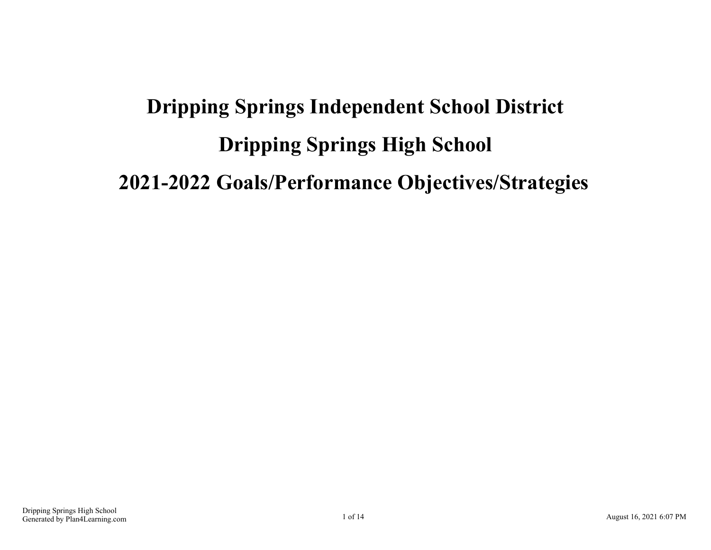# **Dripping Springs Independent School District Dripping Springs High School 2021-2022 Goals/Performance Objectives/Strategies**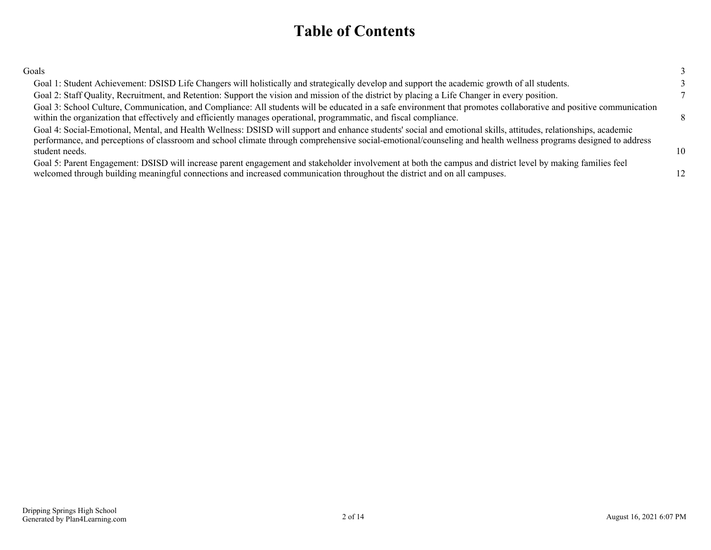### **Table of Contents**

| Goals                                                                                                                                                                                                                                                                                                                                                |                 |
|------------------------------------------------------------------------------------------------------------------------------------------------------------------------------------------------------------------------------------------------------------------------------------------------------------------------------------------------------|-----------------|
| Goal 1: Student Achievement: DSISD Life Changers will holistically and strategically develop and support the academic growth of all students.                                                                                                                                                                                                        |                 |
| Goal 2: Staff Quality, Recruitment, and Retention: Support the vision and mission of the district by placing a Life Changer in every position.                                                                                                                                                                                                       |                 |
| Goal 3: School Culture, Communication, and Compliance: All students will be educated in a safe environment that promotes collaborative and positive communication<br>within the organization that effectively and efficiently manages operational, programmatic, and fiscal compliance.                                                              | $\mathbf{R}$    |
| Goal 4: Social-Emotional, Mental, and Health Wellness: DSISD will support and enhance students' social and emotional skills, attitudes, relationships, academic<br>performance, and perceptions of classroom and school climate through comprehensive social-emotional/counseling and health wellness programs designed to address<br>student needs. | 10 <sup>1</sup> |
| Goal 5: Parent Engagement: DSISD will increase parent engagement and stakeholder involvement at both the campus and district level by making families feel<br>welcomed through building meaningful connections and increased communication throughout the district and on all campuses.                                                              |                 |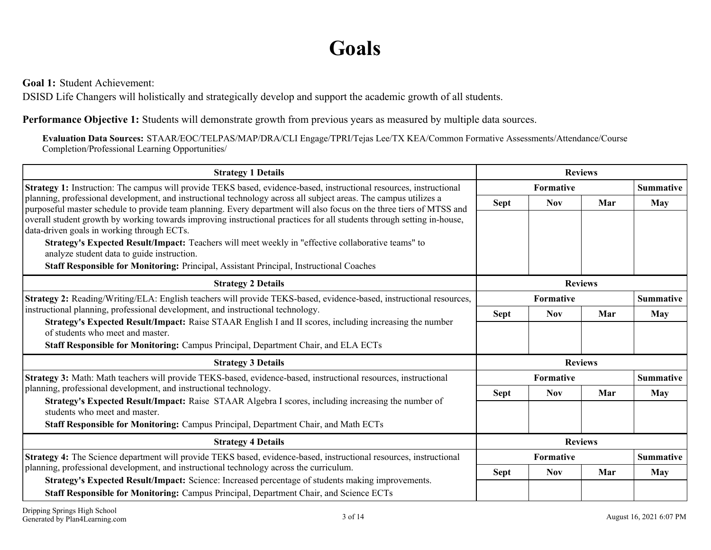## **Goals**

<span id="page-2-0"></span>**Goal 1:** Student Achievement:

DSISD Life Changers will holistically and strategically develop and support the academic growth of all students.

**Performance Objective 1:** Students will demonstrate growth from previous years as measured by multiple data sources.

**Evaluation Data Sources:** STAAR/EOC/TELPAS/MAP/DRA/CLI Engage/TPRI/Tejas Lee/TX KEA/Common Formative Assessments/Attendance/Course Completion/Professional Learning Opportunities/

| <b>Strategy 1 Details</b>                                                                                                                                                                                                                | <b>Reviews</b> |            |                |                  |
|------------------------------------------------------------------------------------------------------------------------------------------------------------------------------------------------------------------------------------------|----------------|------------|----------------|------------------|
| Strategy 1: Instruction: The campus will provide TEKS based, evidence-based, instructional resources, instructional                                                                                                                      |                | Formative  |                | <b>Summative</b> |
| planning, professional development, and instructional technology across all subject areas. The campus utilizes a<br>purposeful master schedule to provide team planning. Every department will also focus on the three tiers of MTSS and | <b>Sept</b>    | <b>Nov</b> | Mar            | <b>May</b>       |
| overall student growth by working towards improving instructional practices for all students through setting in-house,<br>data-driven goals in working through ECTs.                                                                     |                |            |                |                  |
| Strategy's Expected Result/Impact: Teachers will meet weekly in "effective collaborative teams" to<br>analyze student data to guide instruction.                                                                                         |                |            |                |                  |
| <b>Staff Responsible for Monitoring:</b> Principal, Assistant Principal, Instructional Coaches                                                                                                                                           |                |            |                |                  |
| <b>Strategy 2 Details</b>                                                                                                                                                                                                                | <b>Reviews</b> |            |                |                  |
| Strategy 2: Reading/Writing/ELA: English teachers will provide TEKS-based, evidence-based, instructional resources,                                                                                                                      | Formative      |            |                | <b>Summative</b> |
| instructional planning, professional development, and instructional technology.                                                                                                                                                          | <b>Sept</b>    | <b>Nov</b> | Mar            | May              |
| Strategy's Expected Result/Impact: Raise STAAR English I and II scores, including increasing the number<br>of students who meet and master.                                                                                              |                |            |                |                  |
| Staff Responsible for Monitoring: Campus Principal, Department Chair, and ELA ECTs                                                                                                                                                       |                |            |                |                  |
| <b>Strategy 3 Details</b>                                                                                                                                                                                                                |                |            | <b>Reviews</b> |                  |
| Strategy 3: Math: Math teachers will provide TEKS-based, evidence-based, instructional resources, instructional                                                                                                                          |                | Formative  |                | <b>Summative</b> |
| planning, professional development, and instructional technology.                                                                                                                                                                        | <b>Sept</b>    | <b>Nov</b> | Mar            | <b>May</b>       |
| Strategy's Expected Result/Impact: Raise STAAR Algebra I scores, including increasing the number of<br>students who meet and master.                                                                                                     |                |            |                |                  |
| Staff Responsible for Monitoring: Campus Principal, Department Chair, and Math ECTs                                                                                                                                                      |                |            |                |                  |
| <b>Strategy 4 Details</b>                                                                                                                                                                                                                |                |            | <b>Reviews</b> |                  |
| Strategy 4: The Science department will provide TEKS based, evidence-based, instructional resources, instructional                                                                                                                       |                | Formative  |                | <b>Summative</b> |
| planning, professional development, and instructional technology across the curriculum.                                                                                                                                                  | <b>Sept</b>    | <b>Nov</b> | Mar            | <b>May</b>       |
| Strategy's Expected Result/Impact: Science: Increased percentage of students making improvements.<br>Staff Responsible for Monitoring: Campus Principal, Department Chair, and Science ECTs                                              |                |            |                |                  |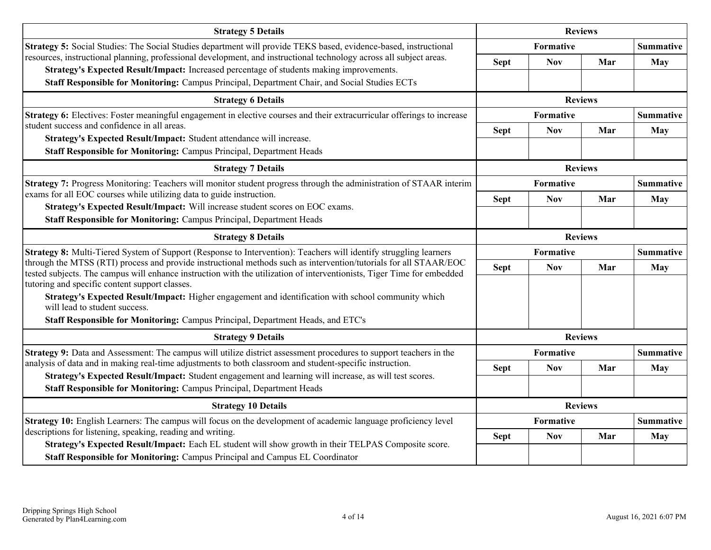| <b>Strategy 5 Details</b>                                                                                                                                                                                                                   | <b>Reviews</b> |                               |                |                  |
|---------------------------------------------------------------------------------------------------------------------------------------------------------------------------------------------------------------------------------------------|----------------|-------------------------------|----------------|------------------|
| Strategy 5: Social Studies: The Social Studies department will provide TEKS based, evidence-based, instructional                                                                                                                            |                | Formative                     |                | <b>Summative</b> |
| resources, instructional planning, professional development, and instructional technology across all subject areas.                                                                                                                         | <b>Sept</b>    | <b>Nov</b>                    | Mar            | May              |
| Strategy's Expected Result/Impact: Increased percentage of students making improvements.<br>Staff Responsible for Monitoring: Campus Principal, Department Chair, and Social Studies ECTs                                                   |                |                               |                |                  |
| <b>Strategy 6 Details</b>                                                                                                                                                                                                                   |                |                               | <b>Reviews</b> |                  |
| Strategy 6: Electives: Foster meaningful engagement in elective courses and their extracurricular offerings to increase                                                                                                                     |                | Formative                     |                |                  |
| student success and confidence in all areas.                                                                                                                                                                                                | <b>Sept</b>    | <b>Nov</b>                    | Mar            | <b>May</b>       |
| Strategy's Expected Result/Impact: Student attendance will increase.                                                                                                                                                                        |                |                               |                |                  |
| Staff Responsible for Monitoring: Campus Principal, Department Heads                                                                                                                                                                        |                |                               |                |                  |
| <b>Strategy 7 Details</b>                                                                                                                                                                                                                   |                |                               | <b>Reviews</b> |                  |
| Strategy 7: Progress Monitoring: Teachers will monitor student progress through the administration of STAAR interim                                                                                                                         | Formative      |                               |                | <b>Summative</b> |
| exams for all EOC courses while utilizing data to guide instruction.<br>Strategy's Expected Result/Impact: Will increase student scores on EOC exams.                                                                                       | <b>Sept</b>    | <b>Nov</b>                    | Mar            | <b>May</b>       |
| Staff Responsible for Monitoring: Campus Principal, Department Heads                                                                                                                                                                        |                |                               |                |                  |
| <b>Strategy 8 Details</b>                                                                                                                                                                                                                   |                | <b>Reviews</b>                |                |                  |
| Strategy 8: Multi-Tiered System of Support (Response to Intervention): Teachers will identify struggling learners                                                                                                                           |                | Formative<br><b>Summative</b> |                |                  |
| through the MTSS (RTI) process and provide instructional methods such as intervention/tutorials for all STAAR/EOC<br>tested subjects. The campus will enhance instruction with the utilization of interventionists, Tiger Time for embedded | <b>Sept</b>    | <b>Nov</b>                    | Mar            | <b>May</b>       |
| tutoring and specific content support classes.<br>Strategy's Expected Result/Impact: Higher engagement and identification with school community which<br>will lead to student success.                                                      |                |                               |                |                  |
| Staff Responsible for Monitoring: Campus Principal, Department Heads, and ETC's                                                                                                                                                             |                |                               |                |                  |
| <b>Strategy 9 Details</b>                                                                                                                                                                                                                   |                |                               | <b>Reviews</b> |                  |
| Strategy 9: Data and Assessment: The campus will utilize district assessment procedures to support teachers in the                                                                                                                          |                | Formative                     |                | <b>Summative</b> |
| analysis of data and in making real-time adjustments to both classroom and student-specific instruction.<br>Strategy's Expected Result/Impact: Student engagement and learning will increase, as will test scores.                          | <b>Sept</b>    | <b>Nov</b>                    | Mar            | <b>May</b>       |
| Staff Responsible for Monitoring: Campus Principal, Department Heads                                                                                                                                                                        |                |                               |                |                  |
| <b>Strategy 10 Details</b>                                                                                                                                                                                                                  |                | <b>Reviews</b>                |                |                  |
| Strategy 10: English Learners: The campus will focus on the development of academic language proficiency level                                                                                                                              |                | Formative                     |                | <b>Summative</b> |
| descriptions for listening, speaking, reading and writing.                                                                                                                                                                                  | <b>Sept</b>    | <b>Nov</b>                    | Mar            | May              |
| Strategy's Expected Result/Impact: Each EL student will show growth in their TELPAS Composite score.                                                                                                                                        |                |                               |                |                  |
| Staff Responsible for Monitoring: Campus Principal and Campus EL Coordinator                                                                                                                                                                |                |                               |                |                  |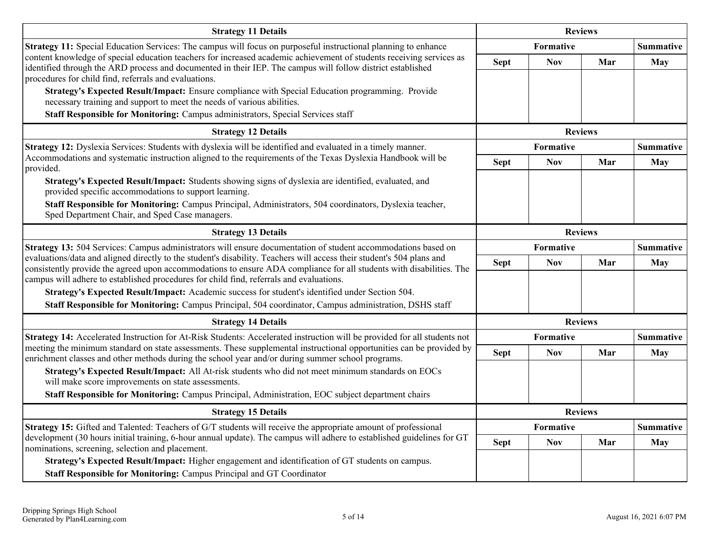| <b>Strategy 11 Details</b>                                                                                                                                                                                                                                                                                                               | <b>Reviews</b>                |                  |                |                  |
|------------------------------------------------------------------------------------------------------------------------------------------------------------------------------------------------------------------------------------------------------------------------------------------------------------------------------------------|-------------------------------|------------------|----------------|------------------|
| Strategy 11: Special Education Services: The campus will focus on purposeful instructional planning to enhance                                                                                                                                                                                                                           |                               | <b>Formative</b> |                | <b>Summative</b> |
| content knowledge of special education teachers for increased academic achievement of students receiving services as<br>identified through the ARD process and documented in their IEP. The campus will follow district established<br>procedures for child find, referrals and evaluations.                                             | <b>Sept</b>                   | <b>Nov</b>       | Mar            | <b>May</b>       |
| Strategy's Expected Result/Impact: Ensure compliance with Special Education programming. Provide<br>necessary training and support to meet the needs of various abilities.                                                                                                                                                               |                               |                  |                |                  |
| Staff Responsible for Monitoring: Campus administrators, Special Services staff                                                                                                                                                                                                                                                          |                               |                  |                |                  |
| <b>Strategy 12 Details</b>                                                                                                                                                                                                                                                                                                               |                               | <b>Reviews</b>   |                |                  |
| Strategy 12: Dyslexia Services: Students with dyslexia will be identified and evaluated in a timely manner.                                                                                                                                                                                                                              |                               | <b>Formative</b> |                | <b>Summative</b> |
| Accommodations and systematic instruction aligned to the requirements of the Texas Dyslexia Handbook will be<br>provided.                                                                                                                                                                                                                | <b>Sept</b>                   | <b>Nov</b>       | Mar            | May              |
| Strategy's Expected Result/Impact: Students showing signs of dyslexia are identified, evaluated, and<br>provided specific accommodations to support learning.                                                                                                                                                                            |                               |                  |                |                  |
| Staff Responsible for Monitoring: Campus Principal, Administrators, 504 coordinators, Dyslexia teacher,<br>Sped Department Chair, and Sped Case managers.                                                                                                                                                                                |                               |                  |                |                  |
| <b>Strategy 13 Details</b>                                                                                                                                                                                                                                                                                                               | <b>Reviews</b>                |                  |                |                  |
| Strategy 13: 504 Services: Campus administrators will ensure documentation of student accommodations based on                                                                                                                                                                                                                            | Formative<br><b>Summative</b> |                  |                |                  |
| evaluations/data and aligned directly to the student's disability. Teachers will access their student's 504 plans and<br>consistently provide the agreed upon accommodations to ensure ADA compliance for all students with disabilities. The<br>campus will adhere to established procedures for child find, referrals and evaluations. | <b>Sept</b>                   | <b>Nov</b>       | Mar            | <b>May</b>       |
| Strategy's Expected Result/Impact: Academic success for student's identified under Section 504.<br>Staff Responsible for Monitoring: Campus Principal, 504 coordinator, Campus administration, DSHS staff                                                                                                                                |                               |                  |                |                  |
| <b>Strategy 14 Details</b>                                                                                                                                                                                                                                                                                                               |                               |                  | <b>Reviews</b> |                  |
| Strategy 14: Accelerated Instruction for At-Risk Students: Accelerated instruction will be provided for all students not                                                                                                                                                                                                                 |                               | Formative        |                | <b>Summative</b> |
| meeting the minimum standard on state assessments. These supplemental instructional opportunities can be provided by<br>enrichment classes and other methods during the school year and/or during summer school programs.                                                                                                                | <b>Sept</b>                   | <b>Nov</b>       | Mar            | <b>May</b>       |
| Strategy's Expected Result/Impact: All At-risk students who did not meet minimum standards on EOCs<br>will make score improvements on state assessments.                                                                                                                                                                                 |                               |                  |                |                  |
| Staff Responsible for Monitoring: Campus Principal, Administration, EOC subject department chairs                                                                                                                                                                                                                                        |                               |                  |                |                  |
| <b>Strategy 15 Details</b>                                                                                                                                                                                                                                                                                                               |                               |                  | <b>Reviews</b> |                  |
| <b>Strategy 15:</b> Gifted and Talented: Teachers of G/T students will receive the appropriate amount of professional                                                                                                                                                                                                                    |                               | Formative        |                | <b>Summative</b> |
| development (30 hours initial training, 6-hour annual update). The campus will adhere to established guidelines for GT<br>nominations, screening, selection and placement.                                                                                                                                                               | <b>Sept</b>                   | <b>Nov</b>       | Mar            | May              |
| Strategy's Expected Result/Impact: Higher engagement and identification of GT students on campus.                                                                                                                                                                                                                                        |                               |                  |                |                  |
| Staff Responsible for Monitoring: Campus Principal and GT Coordinator                                                                                                                                                                                                                                                                    |                               |                  |                |                  |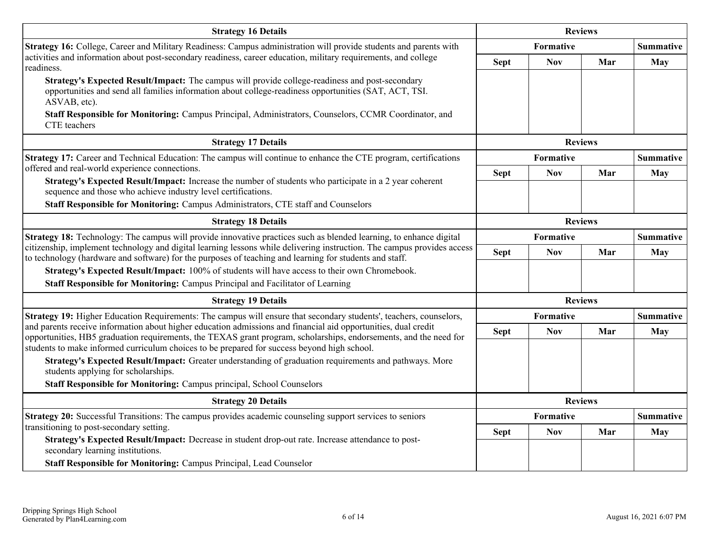| <b>Strategy 16 Details</b>                                                                                                                                                                                                                                                                                                        | <b>Reviews</b> |                               |                |                  |
|-----------------------------------------------------------------------------------------------------------------------------------------------------------------------------------------------------------------------------------------------------------------------------------------------------------------------------------|----------------|-------------------------------|----------------|------------------|
| Strategy 16: College, Career and Military Readiness: Campus administration will provide students and parents with                                                                                                                                                                                                                 |                | Formative                     |                | <b>Summative</b> |
| activities and information about post-secondary readiness, career education, military requirements, and college<br>readiness.                                                                                                                                                                                                     | <b>Sept</b>    | <b>Nov</b>                    | Mar            | <b>May</b>       |
| Strategy's Expected Result/Impact: The campus will provide college-readiness and post-secondary<br>opportunities and send all families information about college-readiness opportunities (SAT, ACT, TSI.<br>ASVAB, etc).<br>Staff Responsible for Monitoring: Campus Principal, Administrators, Counselors, CCMR Coordinator, and |                |                               |                |                  |
| CTE teachers                                                                                                                                                                                                                                                                                                                      |                |                               |                |                  |
| <b>Strategy 17 Details</b>                                                                                                                                                                                                                                                                                                        |                |                               | <b>Reviews</b> |                  |
| Strategy 17: Career and Technical Education: The campus will continue to enhance the CTE program, certifications                                                                                                                                                                                                                  |                | Formative                     |                | <b>Summative</b> |
| offered and real-world experience connections.<br>Strategy's Expected Result/Impact: Increase the number of students who participate in a 2 year coherent                                                                                                                                                                         | <b>Sept</b>    | <b>Nov</b>                    | Mar            | <b>May</b>       |
| sequence and those who achieve industry level certifications.                                                                                                                                                                                                                                                                     |                |                               |                |                  |
| Staff Responsible for Monitoring: Campus Administrators, CTE staff and Counselors                                                                                                                                                                                                                                                 |                |                               |                |                  |
| <b>Strategy 18 Details</b>                                                                                                                                                                                                                                                                                                        |                | <b>Reviews</b>                |                |                  |
| Strategy 18: Technology: The campus will provide innovative practices such as blended learning, to enhance digital<br>citizenship, implement technology and digital learning lessons while delivering instruction. The campus provides access                                                                                     | Formative      |                               |                | <b>Summative</b> |
|                                                                                                                                                                                                                                                                                                                                   | <b>Sept</b>    | <b>Nov</b>                    | Mar            | <b>May</b>       |
| to technology (hardware and software) for the purposes of teaching and learning for students and staff.<br>Strategy's Expected Result/Impact: 100% of students will have access to their own Chromebook.                                                                                                                          |                |                               |                |                  |
| Staff Responsible for Monitoring: Campus Principal and Facilitator of Learning                                                                                                                                                                                                                                                    |                |                               |                |                  |
| <b>Strategy 19 Details</b>                                                                                                                                                                                                                                                                                                        |                |                               | <b>Reviews</b> |                  |
| Strategy 19: Higher Education Requirements: The campus will ensure that secondary students', teachers, counselors,                                                                                                                                                                                                                |                | Formative                     |                | <b>Summative</b> |
| and parents receive information about higher education admissions and financial aid opportunities, dual credit                                                                                                                                                                                                                    | <b>Sept</b>    | <b>Nov</b>                    | Mar            | <b>May</b>       |
| opportunities, HB5 graduation requirements, the TEXAS grant program, scholarships, endorsements, and the need for<br>students to make informed curriculum choices to be prepared for success beyond high school.                                                                                                                  |                |                               |                |                  |
| Strategy's Expected Result/Impact: Greater understanding of graduation requirements and pathways. More<br>students applying for scholarships.                                                                                                                                                                                     |                |                               |                |                  |
| Staff Responsible for Monitoring: Campus principal, School Counselors                                                                                                                                                                                                                                                             |                |                               |                |                  |
| <b>Strategy 20 Details</b>                                                                                                                                                                                                                                                                                                        |                |                               | <b>Reviews</b> |                  |
| Strategy 20: Successful Transitions: The campus provides academic counseling support services to seniors                                                                                                                                                                                                                          |                | Formative<br><b>Summative</b> |                |                  |
| transitioning to post-secondary setting.                                                                                                                                                                                                                                                                                          | <b>Sept</b>    | <b>Nov</b>                    | Mar            | <b>May</b>       |
| Strategy's Expected Result/Impact: Decrease in student drop-out rate. Increase attendance to post-<br>secondary learning institutions.                                                                                                                                                                                            |                |                               |                |                  |
| Staff Responsible for Monitoring: Campus Principal, Lead Counselor                                                                                                                                                                                                                                                                |                |                               |                |                  |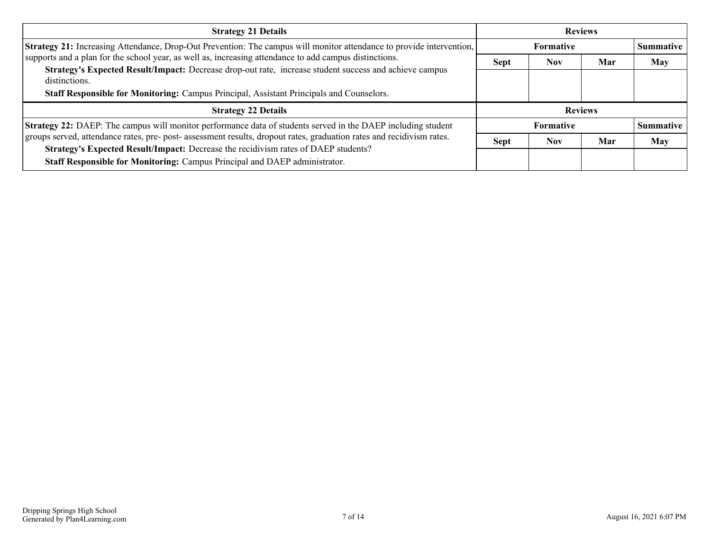| <b>Strategy 21 Details</b>                                                                                              | <b>Reviews</b>   |                  |     |                  |
|-------------------------------------------------------------------------------------------------------------------------|------------------|------------------|-----|------------------|
| Strategy 21: Increasing Attendance, Drop-Out Prevention: The campus will monitor attendance to provide intervention,    |                  | <b>Formative</b> |     | <b>Summative</b> |
| supports and a plan for the school year, as well as, increasing attendance to add campus distinctions.                  | <b>Sept</b>      | <b>Nov</b>       | Mar | <b>May</b>       |
| Strategy's Expected Result/Impact: Decrease drop-out rate, increase student success and achieve campus<br>distinctions. |                  |                  |     |                  |
| Staff Responsible for Monitoring: Campus Principal, Assistant Principals and Counselors.                                |                  |                  |     |                  |
| <b>Strategy 22 Details</b>                                                                                              |                  | <b>Reviews</b>   |     |                  |
| Strategy 22: DAEP: The campus will monitor performance data of students served in the DAEP including student            | <b>Formative</b> |                  |     | <b>Summative</b> |
| groups served, attendance rates, pre- post- assessment results, dropout rates, graduation rates and recidivism rates.   | <b>Sept</b>      | <b>Nov</b>       | Mar | <b>May</b>       |
| Strategy's Expected Result/Impact: Decrease the recidivism rates of DAEP students?                                      |                  |                  |     |                  |
| Staff Responsible for Monitoring: Campus Principal and DAEP administrator.                                              |                  |                  |     |                  |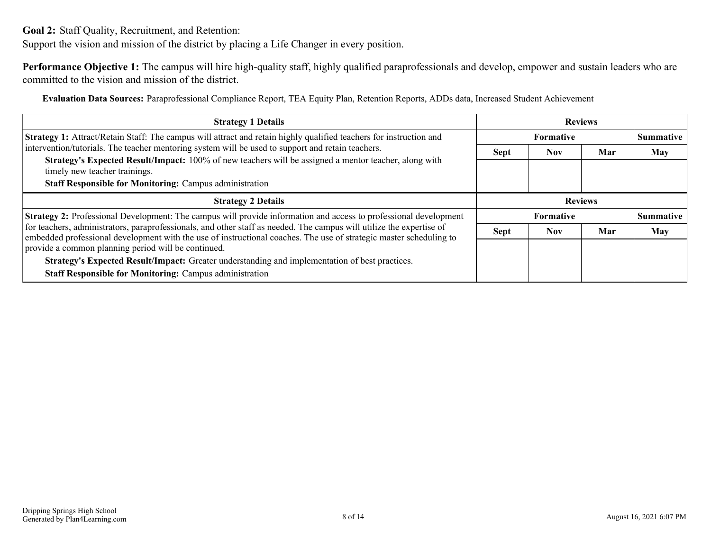<span id="page-7-0"></span>**Goal 2:** Staff Quality, Recruitment, and Retention:

Support the vision and mission of the district by placing a Life Changer in every position.

**Performance Objective 1:** The campus will hire high-quality staff, highly qualified paraprofessionals and develop, empower and sustain leaders who are committed to the vision and mission of the district.

**Evaluation Data Sources:** Paraprofessional Compliance Report, TEA Equity Plan, Retention Reports, ADDs data, Increased Student Achievement

| <b>Strategy 1 Details</b>                                                                                                                                                                                                                  | <b>Reviews</b> |                  |     |                  |
|--------------------------------------------------------------------------------------------------------------------------------------------------------------------------------------------------------------------------------------------|----------------|------------------|-----|------------------|
| <b>Strategy 1:</b> Attract/Retain Staff: The campus will attract and retain highly qualified teachers for instruction and                                                                                                                  |                | <b>Formative</b> |     | <b>Summative</b> |
| intervention/tutorials. The teacher mentoring system will be used to support and retain teachers.                                                                                                                                          | <b>Sept</b>    | <b>Nov</b>       | Mar | <b>May</b>       |
| Strategy's Expected Result/Impact: 100% of new teachers will be assigned a mentor teacher, along with<br>timely new teacher trainings.                                                                                                     |                |                  |     |                  |
| <b>Staff Responsible for Monitoring: Campus administration</b>                                                                                                                                                                             |                |                  |     |                  |
| <b>Strategy 2 Details</b>                                                                                                                                                                                                                  | <b>Reviews</b> |                  |     |                  |
| Strategy 2: Professional Development: The campus will provide information and access to professional development                                                                                                                           |                | <b>Formative</b> |     | Summative        |
| for teachers, administrators, paraprofessionals, and other staff as needed. The campus will utilize the expertise of<br>embedded professional development with the use of instructional coaches. The use of strategic master scheduling to | <b>Sept</b>    | <b>Nov</b>       | Mar | <b>May</b>       |
| provide a common planning period will be continued.                                                                                                                                                                                        |                |                  |     |                  |
| Strategy's Expected Result/Impact: Greater understanding and implementation of best practices.                                                                                                                                             |                |                  |     |                  |
| <b>Staff Responsible for Monitoring: Campus administration</b>                                                                                                                                                                             |                |                  |     |                  |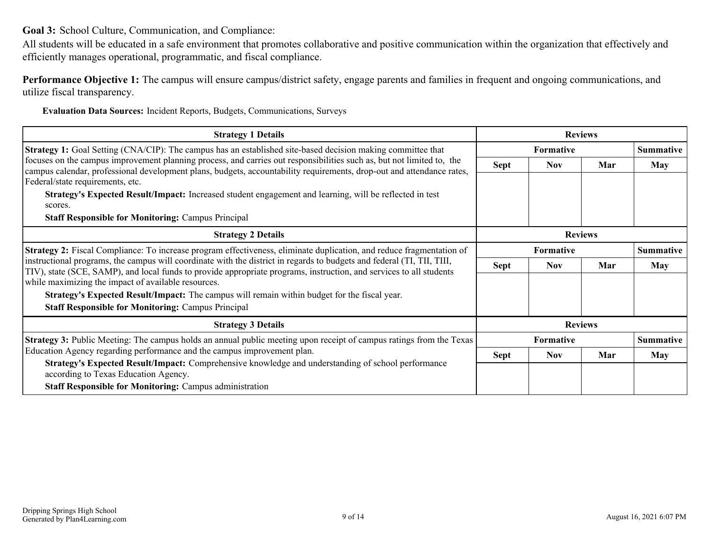<span id="page-8-0"></span>**Goal 3:** School Culture, Communication, and Compliance:

All students will be educated in a safe environment that promotes collaborative and positive communication within the organization that effectively and efficiently manages operational, programmatic, and fiscal compliance.

**Performance Objective 1:** The campus will ensure campus/district safety, engage parents and families in frequent and ongoing communications, and utilize fiscal transparency.

**Evaluation Data Sources:** Incident Reports, Budgets, Communications, Surveys

| <b>Strategy 1 Details</b>                                                                                                                                                                                                                                                                                                                                                                                                                                                | <b>Reviews</b>                       |                  |     |                  |
|--------------------------------------------------------------------------------------------------------------------------------------------------------------------------------------------------------------------------------------------------------------------------------------------------------------------------------------------------------------------------------------------------------------------------------------------------------------------------|--------------------------------------|------------------|-----|------------------|
| <b>Strategy 1:</b> Goal Setting (CNA/CIP): The campus has an established site-based decision making committee that                                                                                                                                                                                                                                                                                                                                                       |                                      | <b>Formative</b> |     | <b>Summative</b> |
| focuses on the campus improvement planning process, and carries out responsibilities such as, but not limited to, the<br>campus calendar, professional development plans, budgets, accountability requirements, drop-out and attendance rates,<br>Federal/state requirements, etc.<br>Strategy's Expected Result/Impact: Increased student engagement and learning, will be reflected in test<br>scores.<br><b>Staff Responsible for Monitoring: Campus Principal</b>    | <b>Sept</b>                          | <b>Nov</b>       | Mar | <b>May</b>       |
| <b>Strategy 2 Details</b>                                                                                                                                                                                                                                                                                                                                                                                                                                                | <b>Reviews</b>                       |                  |     |                  |
| <b>Strategy 2:</b> Fiscal Compliance: To increase program effectiveness, eliminate duplication, and reduce fragmentation of                                                                                                                                                                                                                                                                                                                                              | <b>Formative</b><br><b>Summative</b> |                  |     |                  |
| instructional programs, the campus will coordinate with the district in regards to budgets and federal (TI, TII, TIII,<br>TIV), state (SCE, SAMP), and local funds to provide appropriate programs, instruction, and services to all students<br>while maximizing the impact of available resources.<br><b>Strategy's Expected Result/Impact:</b> The campus will remain within budget for the fiscal year.<br><b>Staff Responsible for Monitoring: Campus Principal</b> | <b>Sept</b>                          | <b>Nov</b>       | Mar | <b>May</b>       |
| <b>Strategy 3 Details</b>                                                                                                                                                                                                                                                                                                                                                                                                                                                | <b>Reviews</b>                       |                  |     |                  |
| <b>Strategy 3:</b> Public Meeting: The campus holds an annual public meeting upon receipt of campus ratings from the Texas                                                                                                                                                                                                                                                                                                                                               |                                      | Formative        |     | <b>Summative</b> |
| Education Agency regarding performance and the campus improvement plan.<br>Strategy's Expected Result/Impact: Comprehensive knowledge and understanding of school performance<br>according to Texas Education Agency.<br><b>Staff Responsible for Monitoring: Campus administration</b>                                                                                                                                                                                  | <b>Sept</b>                          | <b>Nov</b>       | Mar | <b>May</b>       |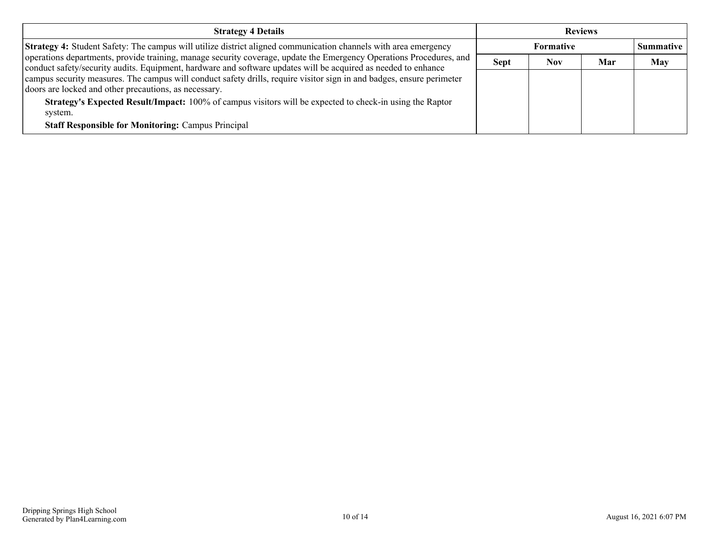| <b>Strategy 4 Details</b>                                                                                                                                                                                                             | <b>Reviews</b> |            |     |                  |
|---------------------------------------------------------------------------------------------------------------------------------------------------------------------------------------------------------------------------------------|----------------|------------|-----|------------------|
| <b>Strategy 4:</b> Student Safety: The campus will utilize district aligned communication channels with area emergency                                                                                                                | Formative      |            |     | <b>Summative</b> |
| operations departments, provide training, manage security coverage, update the Emergency Operations Procedures, and<br>conduct safety/security audits. Equipment, hardware and software updates will be acquired as needed to enhance | <b>Sept</b>    | <b>Nov</b> | Mar | <b>May</b>       |
| campus security measures. The campus will conduct safety drills, require visitor sign in and badges, ensure perimeter<br>doors are locked and other precautions, as necessary.                                                        |                |            |     |                  |
| Strategy's Expected Result/Impact: 100% of campus visitors will be expected to check-in using the Raptor<br>system.                                                                                                                   |                |            |     |                  |
| <b>Staff Responsible for Monitoring: Campus Principal</b>                                                                                                                                                                             |                |            |     |                  |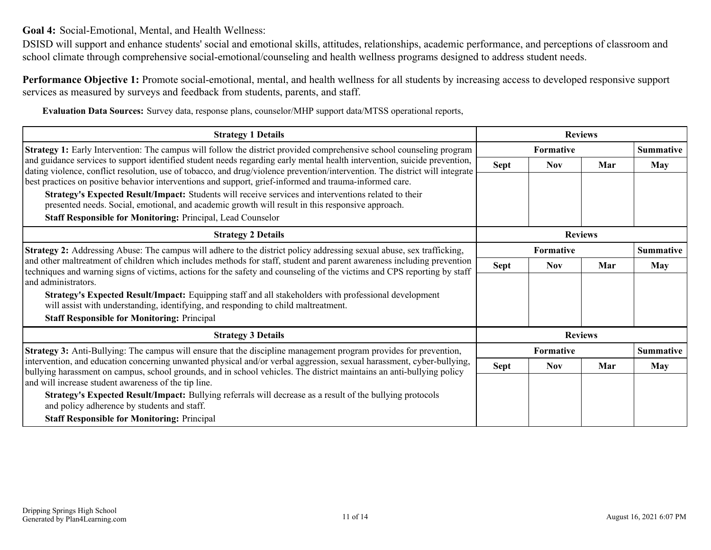<span id="page-10-0"></span>**Goal 4:** Social-Emotional, Mental, and Health Wellness:

DSISD will support and enhance students' social and emotional skills, attitudes, relationships, academic performance, and perceptions of classroom and school climate through comprehensive social-emotional/counseling and health wellness programs designed to address student needs.

**Performance Objective 1:** Promote social-emotional, mental, and health wellness for all students by increasing access to developed responsive support services as measured by surveys and feedback from students, parents, and staff.

**Evaluation Data Sources:** Survey data, response plans, counselor/MHP support data/MTSS operational reports,

| <b>Strategy 1 Details</b>                                                                                                                                                                                                                                                 |                  | <b>Reviews</b>   |     |                  |
|---------------------------------------------------------------------------------------------------------------------------------------------------------------------------------------------------------------------------------------------------------------------------|------------------|------------------|-----|------------------|
| <b>Strategy 1:</b> Early Intervention: The campus will follow the district provided comprehensive school counseling program                                                                                                                                               | <b>Formative</b> |                  |     | <b>Summative</b> |
| and guidance services to support identified student needs regarding early mental health intervention, suicide prevention,                                                                                                                                                 | <b>Sept</b>      | <b>Nov</b>       | Mar | <b>May</b>       |
| dating violence, conflict resolution, use of tobacco, and drug/violence prevention/intervention. The district will integrate<br>best practices on positive behavior interventions and support, grief-informed and trauma-informed care.                                   |                  |                  |     |                  |
| Strategy's Expected Result/Impact: Students will receive services and interventions related to their                                                                                                                                                                      |                  |                  |     |                  |
| presented needs. Social, emotional, and academic growth will result in this responsive approach.                                                                                                                                                                          |                  |                  |     |                  |
| Staff Responsible for Monitoring: Principal, Lead Counselor                                                                                                                                                                                                               |                  |                  |     |                  |
| <b>Strategy 2 Details</b>                                                                                                                                                                                                                                                 | <b>Reviews</b>   |                  |     |                  |
| Strategy 2: Addressing Abuse: The campus will adhere to the district policy addressing sexual abuse, sex trafficking,                                                                                                                                                     | Formative        |                  |     | <b>Summative</b> |
| and other maltreatment of children which includes methods for staff, student and parent awareness including prevention<br>techniques and warning signs of victims, actions for the safety and counseling of the victims and CPS reporting by staff<br>and administrators. | <b>Sept</b>      | <b>Nov</b>       | Mar | <b>May</b>       |
|                                                                                                                                                                                                                                                                           |                  |                  |     |                  |
| Strategy's Expected Result/Impact: Equipping staff and all stakeholders with professional development<br>will assist with understanding, identifying, and responding to child maltreatment.                                                                               |                  |                  |     |                  |
| <b>Staff Responsible for Monitoring: Principal</b>                                                                                                                                                                                                                        |                  |                  |     |                  |
| <b>Strategy 3 Details</b>                                                                                                                                                                                                                                                 |                  | <b>Reviews</b>   |     |                  |
| <b>Strategy 3:</b> Anti-Bullying: The campus will ensure that the discipline management program provides for prevention,                                                                                                                                                  |                  | <b>Formative</b> |     | <b>Summative</b> |
| intervention, and education concerning unwanted physical and/or verbal aggression, sexual harassment, cyber-bullying,<br>bullying harassment on campus, school grounds, and in school vehicles. The district maintains an anti-bullying policy                            | <b>Sept</b>      | <b>Nov</b>       | Mar | <b>May</b>       |
| and will increase student awareness of the tip line.                                                                                                                                                                                                                      |                  |                  |     |                  |
| Strategy's Expected Result/Impact: Bullying referrals will decrease as a result of the bullying protocols<br>and policy adherence by students and staff.                                                                                                                  |                  |                  |     |                  |
| <b>Staff Responsible for Monitoring: Principal</b>                                                                                                                                                                                                                        |                  |                  |     |                  |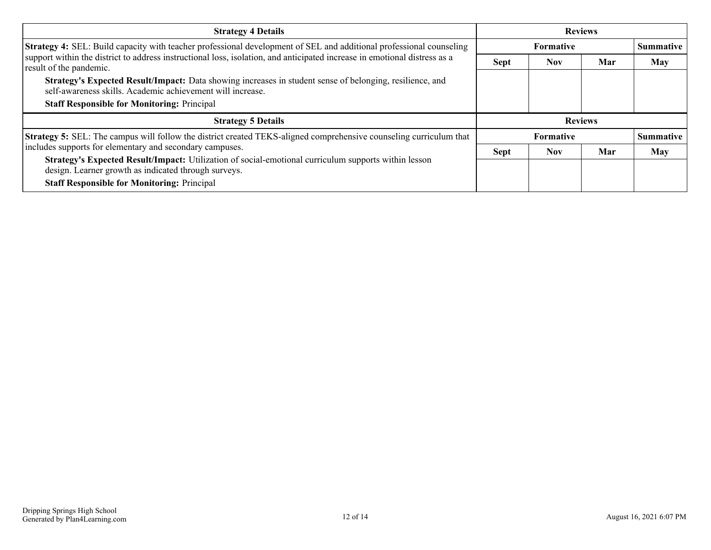| <b>Strategy 4 Details</b>                                                                                                                                              | <b>Reviews</b>   |            |     |                  |
|------------------------------------------------------------------------------------------------------------------------------------------------------------------------|------------------|------------|-----|------------------|
| Strategy 4: SEL: Build capacity with teacher professional development of SEL and additional professional counseling                                                    | <b>Formative</b> |            |     | Summative        |
| support within the district to address instructional loss, isolation, and anticipated increase in emotional distress as a<br>result of the pandemic.                   | <b>Sept</b>      | <b>Nov</b> | Mar | <b>May</b>       |
| Strategy's Expected Result/Impact: Data showing increases in student sense of belonging, resilience, and<br>self-awareness skills. Academic achievement will increase. |                  |            |     |                  |
| <b>Staff Responsible for Monitoring: Principal</b>                                                                                                                     |                  |            |     |                  |
| <b>Strategy 5 Details</b>                                                                                                                                              | <b>Reviews</b>   |            |     |                  |
| <b>Strategy 5:</b> SEL: The campus will follow the district created TEKS-aligned comprehensive counseling curriculum that                                              | <b>Formative</b> |            |     | <b>Summative</b> |
| includes supports for elementary and secondary campuses.                                                                                                               | <b>Sept</b>      | <b>Nov</b> | Mar | May              |
| Strategy's Expected Result/Impact: Utilization of social-emotional curriculum supports within lesson<br>design. Learner growth as indicated through surveys.           |                  |            |     |                  |
| <b>Staff Responsible for Monitoring: Principal</b>                                                                                                                     |                  |            |     |                  |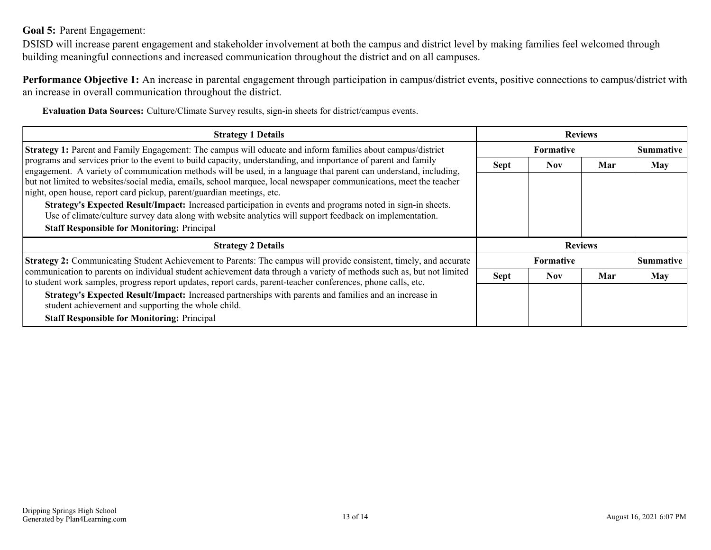### <span id="page-12-0"></span>**Goal 5:** Parent Engagement:

DSISD will increase parent engagement and stakeholder involvement at both the campus and district level by making families feel welcomed through building meaningful connections and increased communication throughout the district and on all campuses.

**Performance Objective 1:** An increase in parental engagement through participation in campus/district events, positive connections to campus/district with an increase in overall communication throughout the district.

**Evaluation Data Sources:** Culture/Climate Survey results, sign-in sheets for district/campus events.

| <b>Strategy 1 Details</b>                                                                                                                                                                                                              | <b>Reviews</b> |                  |                |                  |
|----------------------------------------------------------------------------------------------------------------------------------------------------------------------------------------------------------------------------------------|----------------|------------------|----------------|------------------|
| Strategy 1: Parent and Family Engagement: The campus will educate and inform families about campus/district                                                                                                                            |                | <b>Formative</b> |                | <b>Summative</b> |
| programs and services prior to the event to build capacity, understanding, and importance of parent and family<br>engagement. A variety of communication methods will be used, in a language that parent can understand, including,    | <b>Sept</b>    | <b>Nov</b>       | Mar            | <b>May</b>       |
| but not limited to websites/social media, emails, school marquee, local newspaper communications, meet the teacher<br>night, open house, report card pickup, parent/guardian meetings, etc.                                            |                |                  |                |                  |
| Strategy's Expected Result/Impact: Increased participation in events and programs noted in sign-in sheets.<br>Use of climate/culture survey data along with website analytics will support feedback on implementation.                 |                |                  |                |                  |
| <b>Staff Responsible for Monitoring: Principal</b>                                                                                                                                                                                     |                |                  |                |                  |
| <b>Strategy 2 Details</b>                                                                                                                                                                                                              |                |                  | <b>Reviews</b> |                  |
| Strategy 2: Communicating Student Achievement to Parents: The campus will provide consistent, timely, and accurate                                                                                                                     |                | Formative        |                | <b>Summative</b> |
| communication to parents on individual student achievement data through a variety of methods such as, but not limited<br>to student work samples, progress report updates, report cards, parent-teacher conferences, phone calls, etc. | <b>Sept</b>    | <b>Nov</b>       | Mar            | May              |
| Strategy's Expected Result/Impact: Increased partnerships with parents and families and an increase in<br>student achievement and supporting the whole child.                                                                          |                |                  |                |                  |
| <b>Staff Responsible for Monitoring: Principal</b>                                                                                                                                                                                     |                |                  |                |                  |